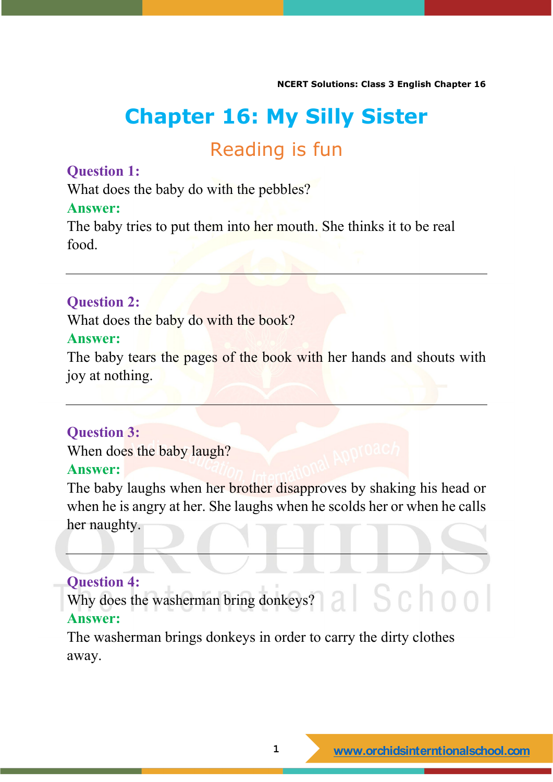# **Chapter 16: My Silly Sister**

## Reading is fun

#### **Question 1:**

What does the baby do with the pebbles?

#### **Answer:**

The baby tries to put them into her mouth. She thinks it to be real food.

#### **Question 2:**

What does the baby do with the book?

#### **Answer:**

The baby tears the pages of the book with her hands and shouts with joy at nothing.

### **Question 3:**

When does the baby laugh?

#### **Answer:**

The baby laughs when her brother disapproves by shaking his head or when he is angry at her. She laughs when he scolds her or when he calls her naughty.

#### **Question 4:**

Why does the washerman bring donkeys? all SC 00 **Answer:**

The washerman brings donkeys in order to carry the dirty clothes away.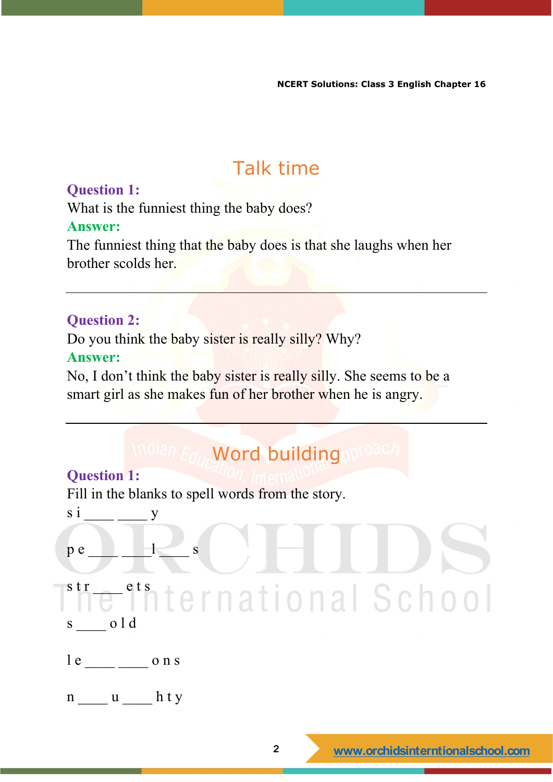# Talk time

#### **Question 1:**

What is the funniest thing the baby does?

#### **Answer:**

The funniest thing that the baby does is that she laughs when her brother scolds her.

#### **Question 2:**

Do you think the baby sister is really silly? Why? **Answer:**

No, I don't think the baby sister is really silly. She seems to be a smart girl as she makes fun of her brother when he is angry.

# Word building

#### **Question 1:**

Fill in the blanks to spell words from the story.

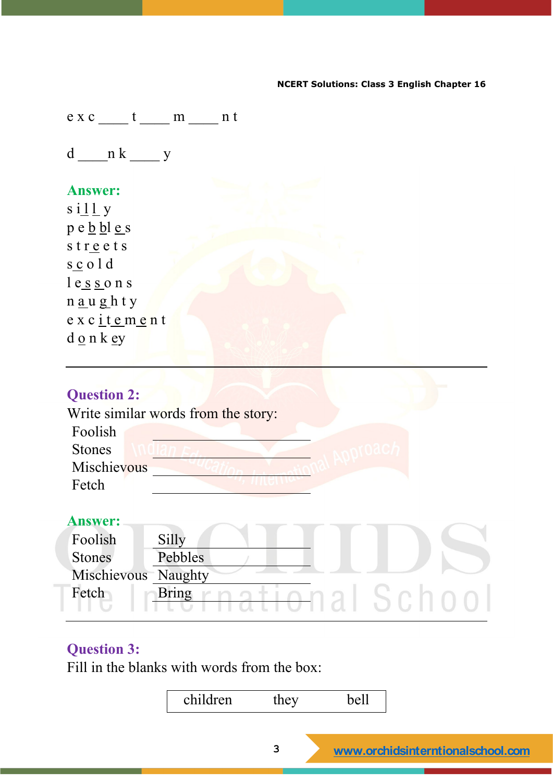#### **NCERT Solutions: Class 3 English Chapter 16**

 $ex c \t t$  m n t

 $d \underline{\hspace{1cm}} n k \underline{\hspace{1cm}} y$ 

#### **Answer:**

 $s$  i $11y$  $p e b b c s$ s t r e e t s s c o l d  $le$   $s$   $s$  o  $n s$ n a u g h t y e x c i t e m e n t d o n k ey

#### **Question 2:**

Write similar words from the story:

| Foolish     |  |
|-------------|--|
| Stones      |  |
| Mischievous |  |
| Fetch       |  |

#### **Answer:**

| Foolish             | Silly   |
|---------------------|---------|
| Stones              | Pebbles |
| Mischievous Naughty |         |
| Fetch               | Bring   |

## **Question 3:**

Fill in the blanks with words from the box:

children they bell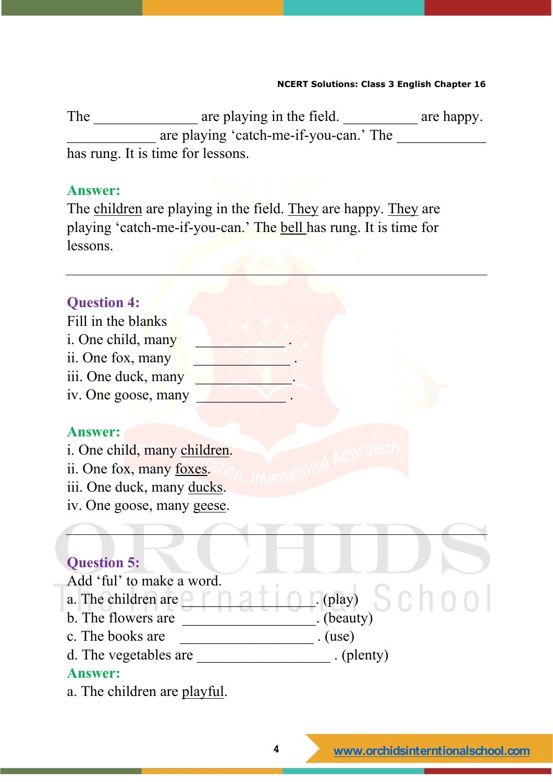#### **NCERT Solutions: Class 3 English Chapter 16**

The \_\_\_\_\_\_\_\_\_\_\_\_\_\_ are playing in the field. \_\_\_\_\_\_\_\_\_\_\_ are happy. are playing 'catch-me-if-you-can.' The has rung. It is time for lessons.

#### **Answer:**

The children are playing in the field. They are happy. They are playing 'catch-me-if-you-can.' The bell has rung. It is time for lessons.

#### **Question 4:**

| Fill in the blanks  |  |  |
|---------------------|--|--|
| i. One child, many  |  |  |
| ii. One fox, many   |  |  |
| iii. One duck, many |  |  |
| iv. One goose, many |  |  |

#### **Answer:**

i. One child, many children.

ii. One fox, many foxes.

iii. One duck, many ducks.

iv. One goose, many geese.

## **Question 5:**

Add 'ful' to make a word. a. The children are  $\underline{P}$   $\underline{P}$   $\underline{P}$   $\underline{P}$   $\underline{P}$  (play)  $\underline{S}$   $\underline{C}$   $\underline{O}$   $\underline{O}$ b. The flowers are  $\qquad \qquad$  . (beauty) c. The books are \_\_\_\_\_\_\_\_\_\_\_\_\_\_\_\_\_\_ . (use) d. The vegetables are **Answer:**

a. The children are playful.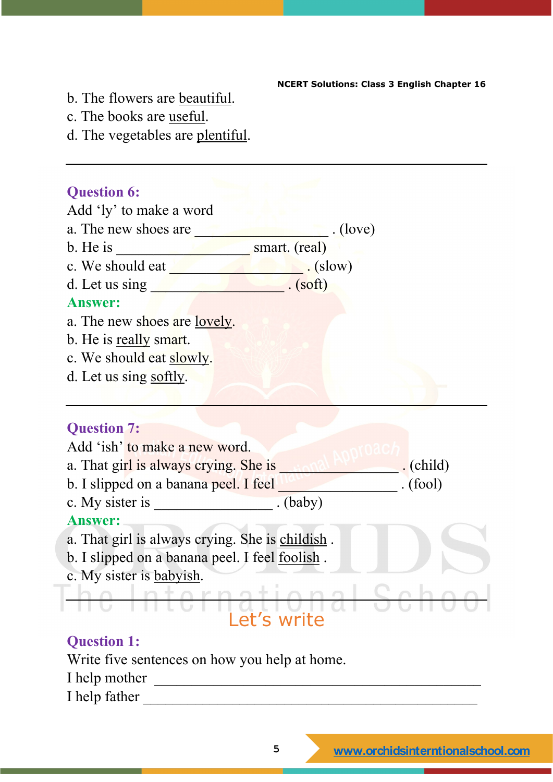#### **NCERT Solutions: Class 3 English Chapter 16**

- b. The flowers are beautiful.
- c. The books are useful.
- d. The vegetables are plentiful.

#### **Question 6:**

Add 'ly' to make a word

- a. The new shoes are \_\_\_\_\_\_\_\_\_\_\_\_\_\_\_\_\_\_\_\_\_. (love)
- $b.$  He is  $\_\_\_\_\_\_\$  smart. (real)
- c. We should eat \_\_\_\_\_\_\_\_\_\_\_\_\_\_\_\_\_\_ . (slow)
- d. Let us sing  $\Box$  . (soft)

#### **Answer:**

- a. The new shoes are lovely.
- b. He is really smart.
- c. We should eat slowly.
- d. Let us sing softly.

#### **Question 7:**

Add 'ish' to make a new word.

- a. That girl is always crying. She is  $\Box$  . (child)
- b. I slipped on a banana peel. I feel **b** (fool)
- c. My sister is the set of  $\log$ . (baby)

#### **Answer:**

- a. That girl is always crying. She is childish .
- b. I slipped on a banana peel. I feel foolish .
- c. My sister is <u>babyish</u>.<br> **h**e in the in a tional Sch

## Let's write

#### **Question 1:**

Write five sentences on how you help at home.

I help mother

I help father